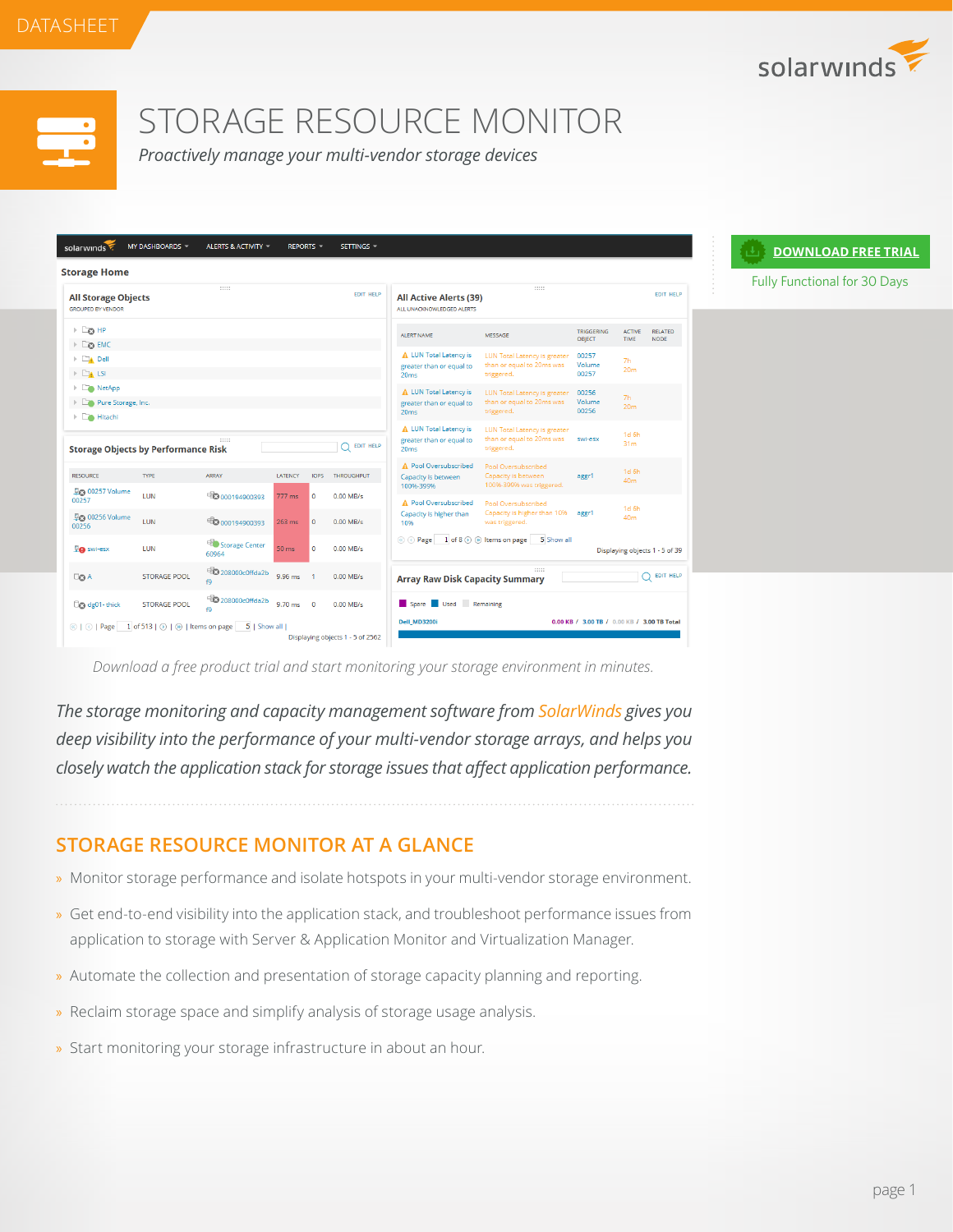

Fully Functional for 30 Days

**[DOWNLOAD FREE TRIAL](http://www.solarwinds.com/register/registrationb.aspx?program=20058&c=70150000000FFaj)**



## STORAGE RESOURCE MONITOR

*Proactively manage your multi-vendor storage devices* 

| <b>Storage Home</b>                                                                                         |                                              |                                  |                  |                         |                                  |                                                                        |                                                                                |                                             |                                     |                                |
|-------------------------------------------------------------------------------------------------------------|----------------------------------------------|----------------------------------|------------------|-------------------------|----------------------------------|------------------------------------------------------------------------|--------------------------------------------------------------------------------|---------------------------------------------|-------------------------------------|--------------------------------|
| <b>All Storage Objects</b><br><b>GROUPED BY VENDOR</b>                                                      |                                              | 111111                           |                  |                         | <b>EDIT HELP</b>                 | <b>All Active Alerts (39)</b><br>ALL UNACKNOWLEDGED ALERTS             | 111111                                                                         |                                             |                                     | <b>EDIT HELP</b>               |
| $\triangleright$ $\Box$ $\Box$ HP                                                                           |                                              |                                  |                  |                         |                                  | <b>ALERT NAME</b>                                                      | MESSAGE                                                                        | <b>TRIGGERING</b><br><b>OBJECT</b>          | <b>ACTIVE</b><br><b>TIME</b>        | <b>RELATED</b><br><b>NODE</b>  |
| $\triangleright$ $\square$ $\bigcirc$ EMC<br>$\triangleright$ $\square$ Dell<br>$\triangleright$ $\Box$ LSI |                                              |                                  |                  |                         |                                  | A LUN Total Latency is<br>greater than or equal to<br>20ms             | <b>LUN Total Latency is greater</b><br>than or equal to 20ms was<br>triggered. | 00257<br>Volume<br>00257                    | 7h<br>20 <sub>m</sub>               |                                |
| RetApp<br>$\triangleright$ $\square$ Pure Storage, Inc.<br>▶ <b>En Hitachi</b>                              |                                              |                                  |                  |                         |                                  | A LUN Total Latency is<br>greater than or equal to<br>20 <sub>ms</sub> | <b>LUN Total Latency is greater</b><br>than or equal to 20ms was<br>triggered. | 00256<br>Volume<br>00256                    | 7h<br>20 <sub>m</sub>               |                                |
| <b>Storage Objects by Performance Risk</b>                                                                  |                                              | 111111                           |                  |                         | <b>EDIT HELP</b>                 | A LUN Total Latency is<br>greater than or equal to<br>20ms             | <b>LUN Total Latency is greater</b><br>than or equal to 20ms was<br>triggered. | swi-esx                                     | 1d <sub>6h</sub><br>31 <sub>m</sub> |                                |
| <b>RESOURCE</b>                                                                                             | <b>TYPE</b>                                  | ARRAY                            | LATENCY          | IOPS                    | <b>THROUGHPUT</b>                | A Pool Oversubscribed<br>Capacity is between<br>100%-399%              | Pool Oversubscribed<br>Capacity is between<br>100%-399% was triggered.         | aggr1                                       | 1d <sub>6h</sub><br>40 <sub>m</sub> |                                |
| <b>DO 00257 Volume</b><br>00257<br>県 00256 Volume<br>00256                                                  | <b>LUN</b><br><b>LUN</b>                     | 50000194900393<br>50000194900393 | 777 ms<br>263 ms | $\circ$<br>$\mathbf{0}$ | $0.00$ MB/s<br>$0.00$ MB/s       | A Pool Oversubscribed<br>Capacity is higher than<br>10%                | Pool Oversubscribed<br>Capacity is higher than 10%<br>was triggered.           | aggr1                                       | 1d <sub>6h</sub><br>40 <sub>m</sub> |                                |
| <b>De</b> swi-esx                                                                                           | LUN                                          | Storage Center<br>60964          | 50 <sub>ms</sub> | $\Omega$                | 0.00 MB/s                        | © ⊙ Page 1 of 8 ⊙ ⊛ Items on page                                      | 5 Show all                                                                     |                                             |                                     | Displaying objects 1 - 5 of 39 |
| $\Box$ a A                                                                                                  | <b>STORAGE POOL</b>                          | 208000c0ffda2b<br>f9             | 9.96 ms          | $\overline{1}$          | $0.00$ MB/s                      | <b>Array Raw Disk Capacity Summary</b>                                 | 11111                                                                          |                                             |                                     | <b>EDIT HELP</b>               |
| Co dg01-thick                                                                                               | <b>STORAGE POOL</b>                          | 208000c0ffda2b<br>f9             | $9.70$ ms        | $\overline{0}$          | $0.00$ MB/s                      | Spare Used Remaining                                                   |                                                                                |                                             |                                     |                                |
| $@ @ $ Page                                                                                                 | 1 of 513   $\odot$   $\odot$   Items on page | 5   Show all                     |                  |                         | Displaying objects 1 - 5 of 2562 | <b>Dell MD3200i</b>                                                    |                                                                                | 0.00 KB / 3.00 TB / 0.00 KB / 3.00 TB Total |                                     |                                |

*Download a free product trial and start monitoring your storage environment in minutes.*

*The storage monitoring and capacity management software from SolarWinds gives you deep visibility into the performance of your multi-vendor storage arrays, and helps you closely watch the application stack for storage issues that affect application performance.*

## **STORAGE RESOURCE MONITOR AT A GLANCE**

- » Monitor storage performance and isolate hotspots in your multi-vendor storage environment.
- » Get end-to-end visibility into the application stack, and troubleshoot performance issues from application to storage with Server & Application Monitor and Virtualization Manager.
- » Automate the collection and presentation of storage capacity planning and reporting.
- » Reclaim storage space and simplify analysis of storage usage analysis.
- » Start monitoring your storage infrastructure in about an hour.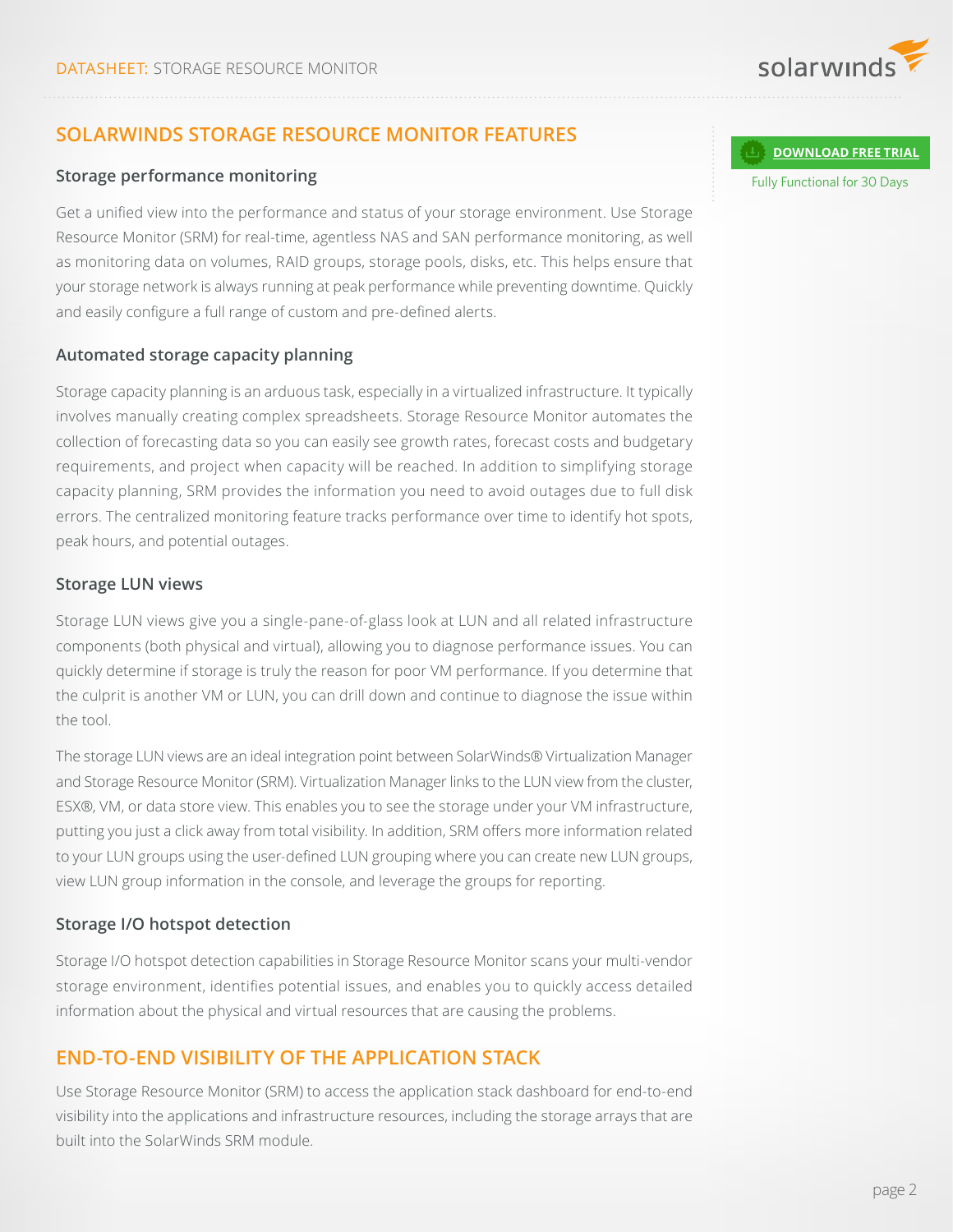

## **SOLARWINDS STORAGE RESOURCE MONITOR FEATURES**

#### **Storage performance monitoring**

Get a unified view into the performance and status of your storage environment. Use Storage Resource Monitor (SRM) for real-time, agentless NAS and SAN performance monitoring, as well as monitoring data on volumes, RAID groups, storage pools, disks, etc. This helps ensure that your storage network is always running at peak performance while preventing downtime. Quickly and easily configure a full range of custom and pre-defined alerts.

#### **Automated storage capacity planning**

Storage capacity planning is an arduous task, especially in a virtualized infrastructure. It typically involves manually creating complex spreadsheets. Storage Resource Monitor automates the collection of forecasting data so you can easily see growth rates, forecast costs and budgetary requirements, and project when capacity will be reached. In addition to simplifying storage capacity planning, SRM provides the information you need to avoid outages due to full disk errors. The centralized monitoring feature tracks performance over time to identify hot spots, peak hours, and potential outages.

#### **Storage LUN views**

Storage LUN views give you a single-pane-of-glass look at LUN and all related infrastructure components (both physical and virtual), allowing you to diagnose performance issues. You can quickly determine if storage is truly the reason for poor VM performance. If you determine that the culprit is another VM or LUN, you can drill down and continue to diagnose the issue within the tool.

The storage LUN views are an ideal integration point between SolarWinds® Virtualization Manager and Storage Resource Monitor (SRM). Virtualization Manager links to the LUN view from the cluster, ESX®, VM, or data store view. This enables you to see the storage under your VM infrastructure, putting you just a click away from total visibility. In addition, SRM offers more information related to your LUN groups using the user-defined LUN grouping where you can create new LUN groups, view LUN group information in the console, and leverage the groups for reporting.

#### **Storage I/O hotspot detection**

Storage I/O hotspot detection capabilities in Storage Resource Monitor scans your multi-vendor storage environment, identifies potential issues, and enables you to quickly access detailed information about the physical and virtual resources that are causing the problems.

## **END-TO-END VISIBILITY OF THE APPLICATION STACK**

Use Storage Resource Monitor (SRM) to access the application stack dashboard for end-to-end visibility into the applications and infrastructure resources, including the storage arrays that are built into the SolarWinds SRM module.

#### **[DOWNLOAD FREE TRIAL](http://www.solarwinds.com/register/registrationb.aspx?program=20058&c=70150000000FFaj)**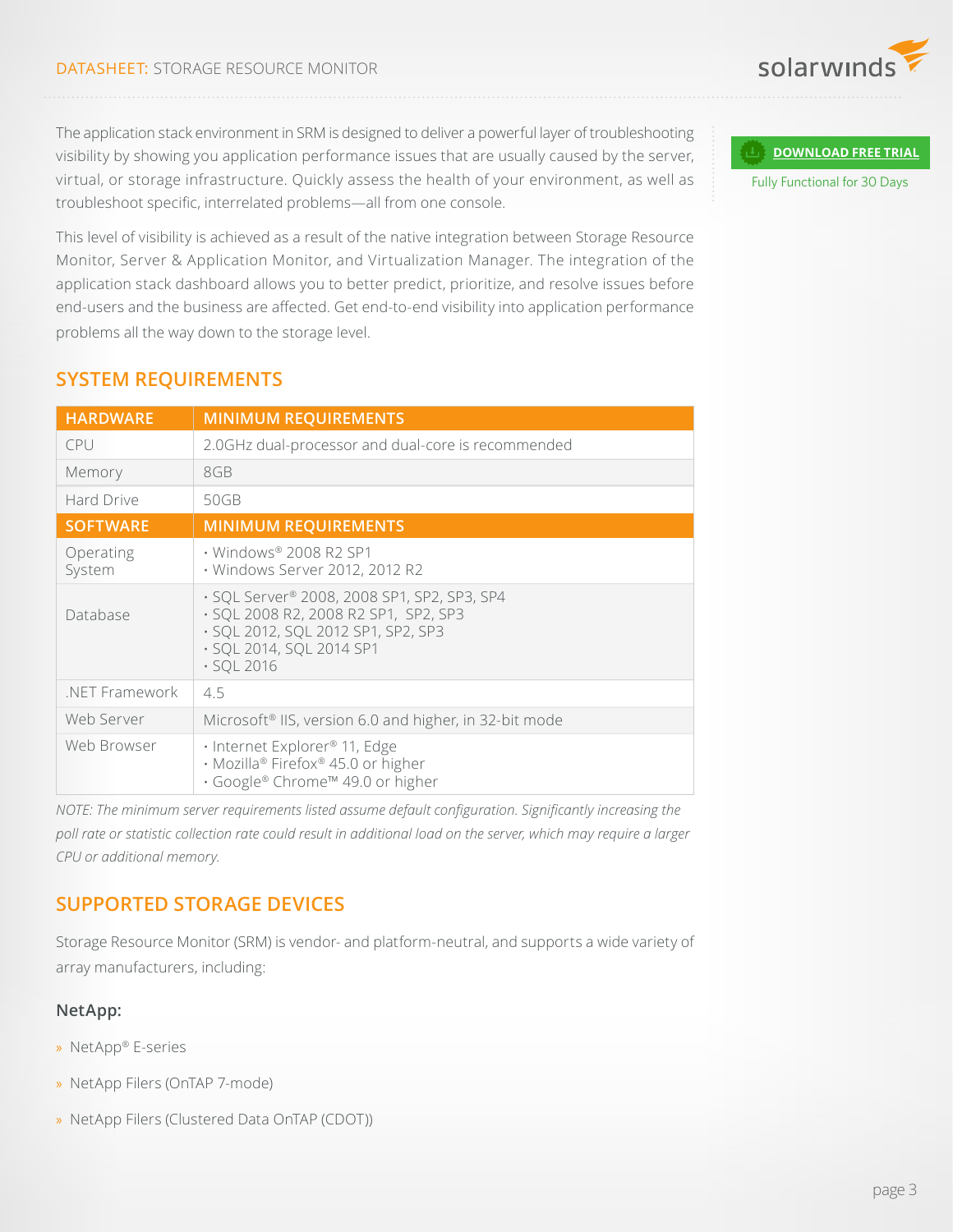

The application stack environment in SRM is designed to deliver a powerful layer of troubleshooting visibility by showing you application performance issues that are usually caused by the server, virtual, or storage infrastructure. Quickly assess the health of your environment, as well as troubleshoot specific, interrelated problems—all from one console.

This level of visibility is achieved as a result of the native integration between Storage Resource Monitor, Server & Application Monitor, and Virtualization Manager. The integration of the application stack dashboard allows you to better predict, prioritize, and resolve issues before end-users and the business are affected. Get end-to-end visibility into application performance problems all the way down to the storage level.

| <b>HARDWARE</b>     | <b>MINIMUM REQUIREMENTS</b>                                                                                                                                               |  |  |  |  |  |
|---------------------|---------------------------------------------------------------------------------------------------------------------------------------------------------------------------|--|--|--|--|--|
| CPU                 | 2.0GHz dual-processor and dual-core is recommended                                                                                                                        |  |  |  |  |  |
| Memory              | 8GB                                                                                                                                                                       |  |  |  |  |  |
| Hard Drive          | 50GB                                                                                                                                                                      |  |  |  |  |  |
| <b>SOFTWARE</b>     | <b>MINIMUM REQUIREMENTS</b>                                                                                                                                               |  |  |  |  |  |
| Operating<br>System | • Windows® 2008 R2 SP1<br>· Windows Server 2012, 2012 R2                                                                                                                  |  |  |  |  |  |
| Database            | · SQL Server® 2008, 2008 SP1, SP2, SP3, SP4<br>· SQL 2008 R2, 2008 R2 SP1, SP2, SP3<br>· SQL 2012, SQL 2012 SP1, SP2, SP3<br>· SQL 2014, SQL 2014 SP1<br>$\cdot$ SQL 2016 |  |  |  |  |  |
| .NET Framework      | 4.5                                                                                                                                                                       |  |  |  |  |  |
| Web Server          | Microsoft <sup>®</sup> IIS, version 6.0 and higher, in 32-bit mode                                                                                                        |  |  |  |  |  |
| Web Browser         | · Internet Explorer <sup>®</sup> 11, Edge<br>· Mozilla® Firefox® 45.0 or higher<br>. Google® Chrome™ 49.0 or higher                                                       |  |  |  |  |  |

## **SYSTEM REQUIREMENTS**

*NOTE: The minimum server requirements listed assume default configuration. Significantly increasing the poll rate or statistic collection rate could result in additional load on the server, which may require a larger CPU or additional memory.*

## **SUPPORTED STORAGE DEVICES**

Storage Resource Monitor (SRM) is vendor- and platform-neutral, and supports a wide variety of array manufacturers, including:

#### **NetApp:**

- » NetApp® E-series
- » NetApp Filers (OnTAP 7-mode)
- » NetApp Filers (Clustered Data OnTAP (CDOT))

#### **[DOWNLOAD FREE TRIAL](http://www.solarwinds.com/register/registrationb.aspx?program=20058&c=70150000000FFaj)**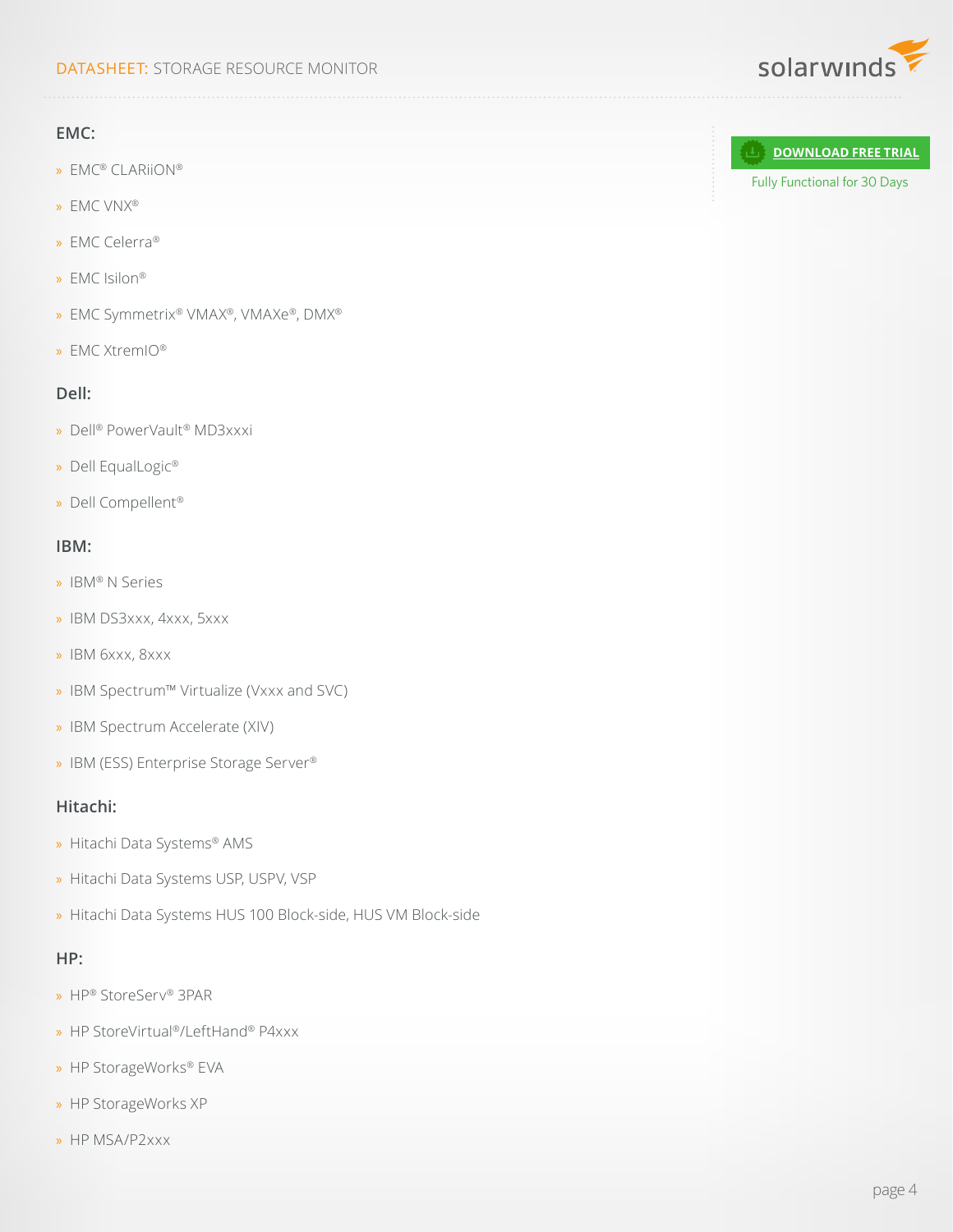#### DATASHEET: STORAGE RESOURCE MONITOR

#### **EMC:**

- » EMC® CLARiiON®
- » EMC VNX®
- » EMC Celerra®
- » EMC Isilon®
- » EMC Symmetrix® VMAX®, VMAXe®, DMX®
- » EMC XtremIO®

#### **Dell:**

- » Dell® PowerVault® MD3xxxi
- » Dell EqualLogic®
- » Dell Compellent®

#### **IBM:**

- » IBM® N Series
- » IBM DS3xxx, 4xxx, 5xxx
- » IBM 6xxx, 8xxx
- » IBM Spectrum™ Virtualize (Vxxx and SVC)
- » IBM Spectrum Accelerate (XIV)
- » IBM (ESS) Enterprise Storage Server®

#### **Hitachi:**

- » Hitachi Data Systems® AMS
- » Hitachi Data Systems USP, USPV, VSP
- » Hitachi Data Systems HUS 100 Block-side, HUS VM Block-side

#### **HP:**

- » HP® StoreServ® 3PAR
- » HP StoreVirtual®/LeftHand® P4xxx
- » HP StorageWorks® EVA
- » HP StorageWorks XP
- » HP MSA/P2xxx